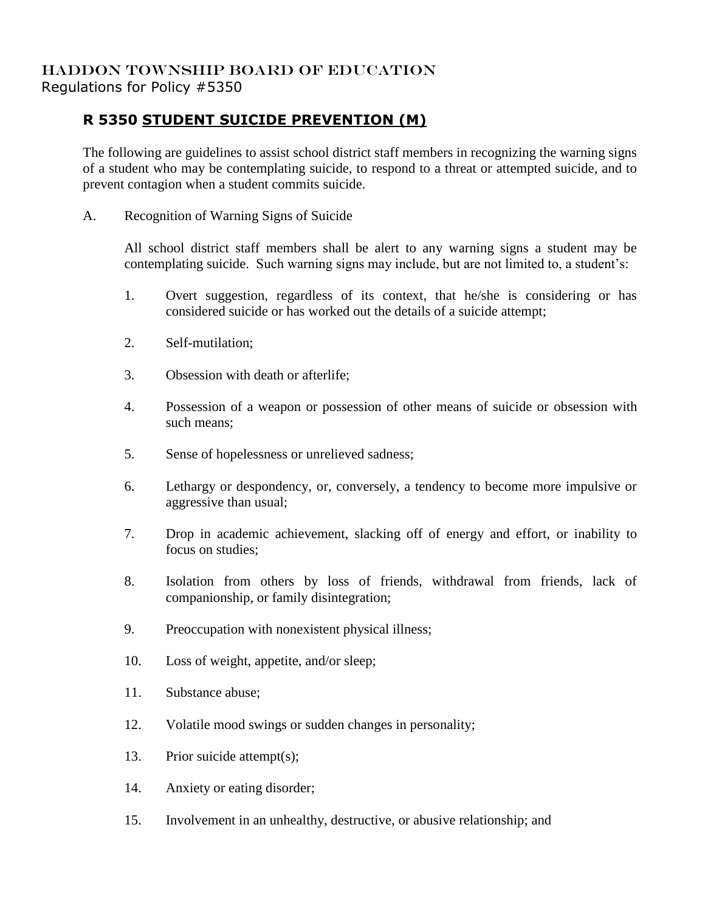## HADDON TOWNSHIP BOARD OF EDUCATION Regulations for Policy #5350

## **R 5350 STUDENT SUICIDE PREVENTION (M)**

The following are guidelines to assist school district staff members in recognizing the warning signs of a student who may be contemplating suicide, to respond to a threat or attempted suicide, and to prevent contagion when a student commits suicide.

A. Recognition of Warning Signs of Suicide

All school district staff members shall be alert to any warning signs a student may be contemplating suicide. Such warning signs may include, but are not limited to, a student's:

- 1. Overt suggestion, regardless of its context, that he/she is considering or has considered suicide or has worked out the details of a suicide attempt;
- 2. Self-mutilation;
- 3. Obsession with death or afterlife;
- 4. Possession of a weapon or possession of other means of suicide or obsession with such means;
- 5. Sense of hopelessness or unrelieved sadness;
- 6. Lethargy or despondency, or, conversely, a tendency to become more impulsive or aggressive than usual;
- 7. Drop in academic achievement, slacking off of energy and effort, or inability to focus on studies;
- 8. Isolation from others by loss of friends, withdrawal from friends, lack of companionship, or family disintegration;
- 9. Preoccupation with nonexistent physical illness;
- 10. Loss of weight, appetite, and/or sleep;
- 11. Substance abuse;
- 12. Volatile mood swings or sudden changes in personality;
- 13. Prior suicide attempt(s);
- 14. Anxiety or eating disorder;
- 15. Involvement in an unhealthy, destructive, or abusive relationship; and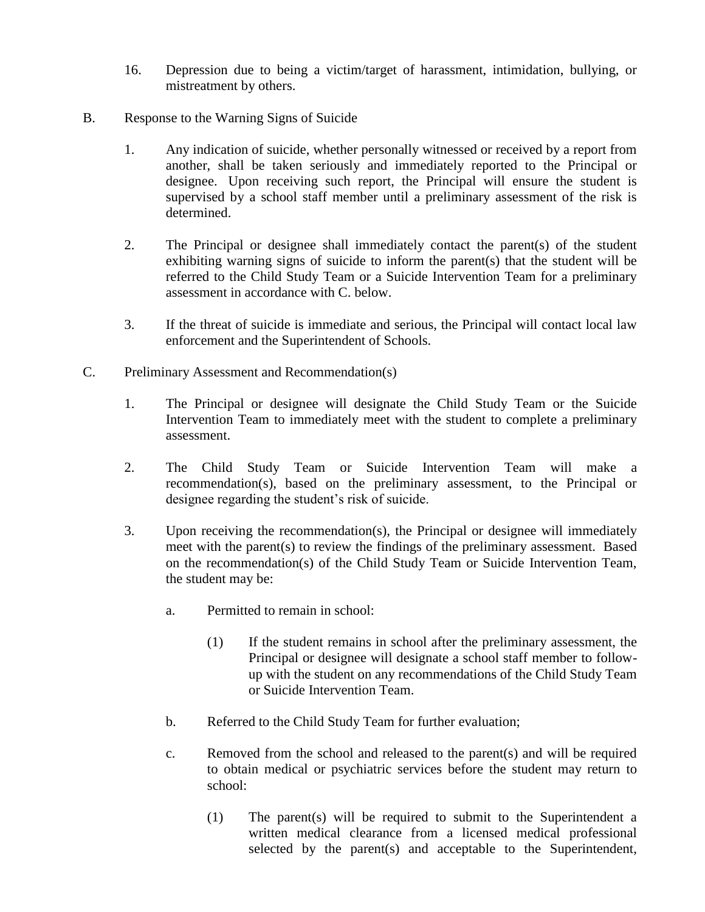- 16. Depression due to being a victim/target of harassment, intimidation, bullying, or mistreatment by others.
- B. Response to the Warning Signs of Suicide
	- 1. Any indication of suicide, whether personally witnessed or received by a report from another, shall be taken seriously and immediately reported to the Principal or designee. Upon receiving such report, the Principal will ensure the student is supervised by a school staff member until a preliminary assessment of the risk is determined.
	- 2. The Principal or designee shall immediately contact the parent(s) of the student exhibiting warning signs of suicide to inform the parent(s) that the student will be referred to the Child Study Team or a Suicide Intervention Team for a preliminary assessment in accordance with C. below.
	- 3. If the threat of suicide is immediate and serious, the Principal will contact local law enforcement and the Superintendent of Schools.
- C. Preliminary Assessment and Recommendation(s)
	- 1. The Principal or designee will designate the Child Study Team or the Suicide Intervention Team to immediately meet with the student to complete a preliminary assessment.
	- 2. The Child Study Team or Suicide Intervention Team will make a recommendation(s), based on the preliminary assessment, to the Principal or designee regarding the student's risk of suicide.
	- 3. Upon receiving the recommendation(s), the Principal or designee will immediately meet with the parent(s) to review the findings of the preliminary assessment. Based on the recommendation(s) of the Child Study Team or Suicide Intervention Team, the student may be:
		- a. Permitted to remain in school:
			- (1) If the student remains in school after the preliminary assessment, the Principal or designee will designate a school staff member to followup with the student on any recommendations of the Child Study Team or Suicide Intervention Team.
		- b. Referred to the Child Study Team for further evaluation;
		- c. Removed from the school and released to the parent(s) and will be required to obtain medical or psychiatric services before the student may return to school:
			- (1) The parent(s) will be required to submit to the Superintendent a written medical clearance from a licensed medical professional selected by the parent(s) and acceptable to the Superintendent,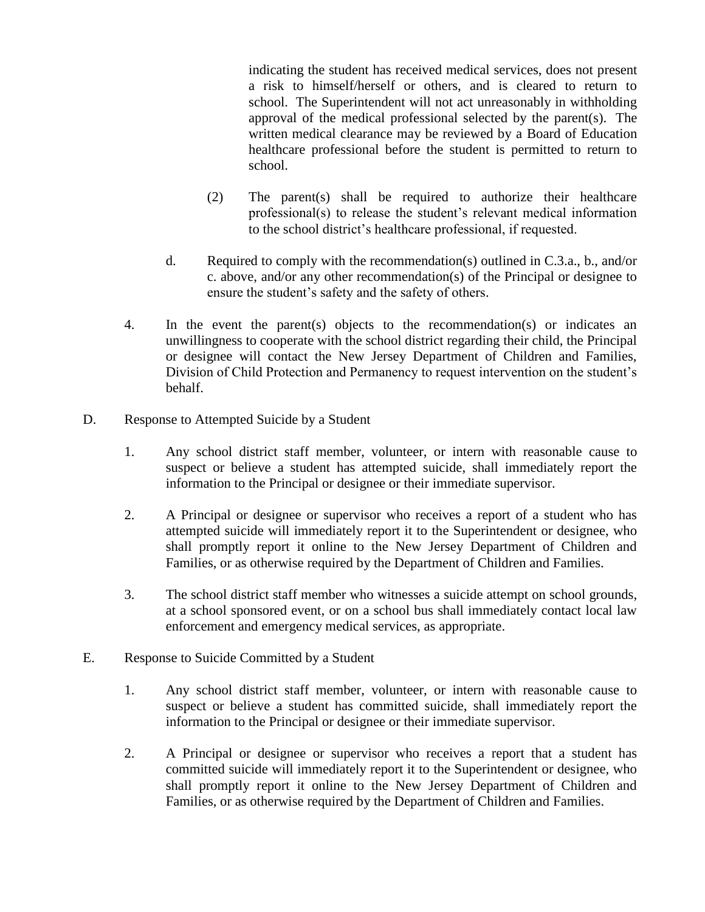indicating the student has received medical services, does not present a risk to himself/herself or others, and is cleared to return to school. The Superintendent will not act unreasonably in withholding approval of the medical professional selected by the parent(s). The written medical clearance may be reviewed by a Board of Education healthcare professional before the student is permitted to return to school.

- (2) The parent(s) shall be required to authorize their healthcare professional(s) to release the student's relevant medical information to the school district's healthcare professional, if requested.
- d. Required to comply with the recommendation(s) outlined in C.3.a., b., and/or c. above, and/or any other recommendation(s) of the Principal or designee to ensure the student's safety and the safety of others.
- 4. In the event the parent(s) objects to the recommendation(s) or indicates an unwillingness to cooperate with the school district regarding their child, the Principal or designee will contact the New Jersey Department of Children and Families, Division of Child Protection and Permanency to request intervention on the student's behalf.
- D. Response to Attempted Suicide by a Student
	- 1. Any school district staff member, volunteer, or intern with reasonable cause to suspect or believe a student has attempted suicide, shall immediately report the information to the Principal or designee or their immediate supervisor.
	- 2. A Principal or designee or supervisor who receives a report of a student who has attempted suicide will immediately report it to the Superintendent or designee, who shall promptly report it online to the New Jersey Department of Children and Families, or as otherwise required by the Department of Children and Families.
	- 3. The school district staff member who witnesses a suicide attempt on school grounds, at a school sponsored event, or on a school bus shall immediately contact local law enforcement and emergency medical services, as appropriate.
- E. Response to Suicide Committed by a Student
	- 1. Any school district staff member, volunteer, or intern with reasonable cause to suspect or believe a student has committed suicide, shall immediately report the information to the Principal or designee or their immediate supervisor.
	- 2. A Principal or designee or supervisor who receives a report that a student has committed suicide will immediately report it to the Superintendent or designee, who shall promptly report it online to the New Jersey Department of Children and Families, or as otherwise required by the Department of Children and Families.